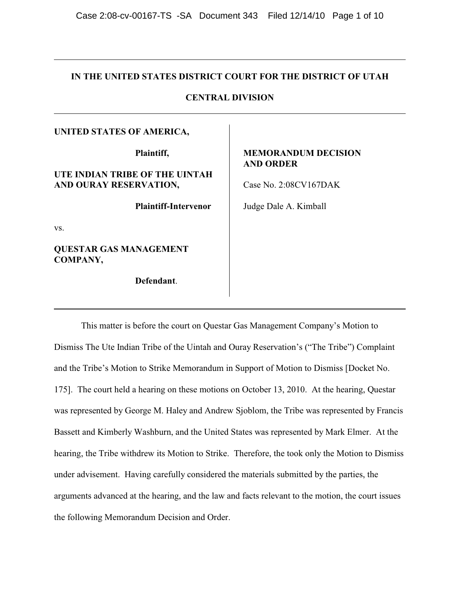# **IN THE UNITED STATES DISTRICT COURT FOR THE DISTRICT OF UTAH**

# **CENTRAL DIVISION**

## **UNITED STATES OF AMERICA,**

**Plaintiff,**

# **UTE INDIAN TRIBE OF THE UINTAH AND OURAY RESERVATION,**

**Plaintiff-Intervenor**

vs.

**QUESTAR GAS MANAGEMENT COMPANY,**

**Defendant**.

# **MEMORANDUM DECISION AND ORDER**

Case No. 2:08CV167DAK

Judge Dale A. Kimball

This matter is before the court on Questar Gas Management Company's Motion to Dismiss The Ute Indian Tribe of the Uintah and Ouray Reservation's ("The Tribe") Complaint and the Tribe's Motion to Strike Memorandum in Support of Motion to Dismiss [Docket No. 175]. The court held a hearing on these motions on October 13, 2010. At the hearing, Questar was represented by George M. Haley and Andrew Sjoblom, the Tribe was represented by Francis Bassett and Kimberly Washburn, and the United States was represented by Mark Elmer. At the hearing, the Tribe withdrew its Motion to Strike. Therefore, the took only the Motion to Dismiss under advisement. Having carefully considered the materials submitted by the parties, the arguments advanced at the hearing, and the law and facts relevant to the motion, the court issues the following Memorandum Decision and Order.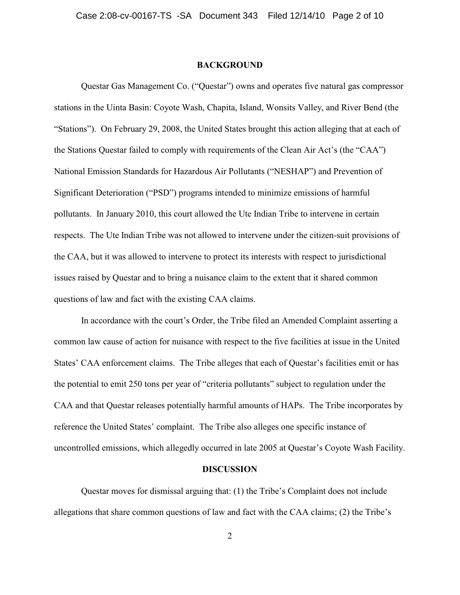#### **BACKGROUND**

Questar Gas Management Co. ("Questar") owns and operates five natural gas compressor stations in the Uinta Basin: Coyote Wash, Chapita, Island, Wonsits Valley, and River Bend (the "Stations"). On February 29, 2008, the United States brought this action alleging that at each of the Stations Questar failed to comply with requirements of the Clean Air Act's (the "CAA") National Emission Standards for Hazardous Air Pollutants ("NESHAP") and Prevention of Significant Deterioration ("PSD") programs intended to minimize emissions of harmful pollutants. In January 2010, this court allowed the Ute Indian Tribe to intervene in certain respects. The Ute Indian Tribe was not allowed to intervene under the citizen-suit provisions of the CAA, but it was allowed to intervene to protect its interests with respect to jurisdictional issues raised by Questar and to bring a nuisance claim to the extent that it shared common questions of law and fact with the existing CAA claims.

In accordance with the court's Order, the Tribe filed an Amended Complaint asserting a common law cause of action for nuisance with respect to the five facilities at issue in the United States' CAA enforcement claims. The Tribe alleges that each of Questar's facilities emit or has the potential to emit 250 tons per year of "criteria pollutants" subject to regulation under the CAA and that Questar releases potentially harmful amounts of HAPs. The Tribe incorporates by reference the United States' complaint. The Tribe also alleges one specific instance of uncontrolled emissions, which allegedly occurred in late 2005 at Questar's Coyote Wash Facility.

### **DISCUSSION**

Questar moves for dismissal arguing that: (1) the Tribe's Complaint does not include allegations that share common questions of law and fact with the CAA claims; (2) the Tribe's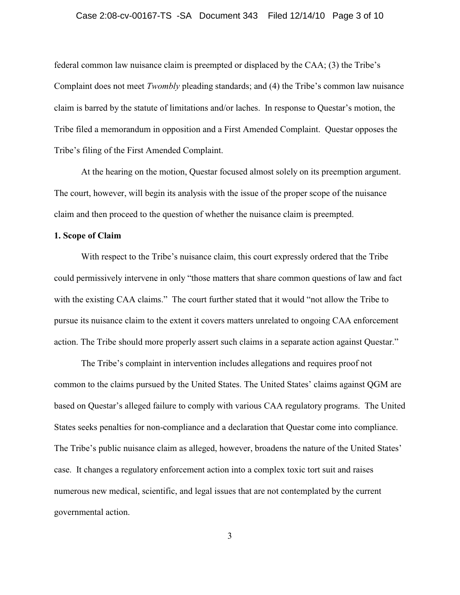federal common law nuisance claim is preempted or displaced by the CAA; (3) the Tribe's Complaint does not meet *Twombly* pleading standards; and (4) the Tribe's common law nuisance claim is barred by the statute of limitations and/or laches. In response to Questar's motion, the Tribe filed a memorandum in opposition and a First Amended Complaint. Questar opposes the Tribe's filing of the First Amended Complaint.

At the hearing on the motion, Questar focused almost solely on its preemption argument. The court, however, will begin its analysis with the issue of the proper scope of the nuisance claim and then proceed to the question of whether the nuisance claim is preempted.

## **1. Scope of Claim**

With respect to the Tribe's nuisance claim, this court expressly ordered that the Tribe could permissively intervene in only "those matters that share common questions of law and fact with the existing CAA claims." The court further stated that it would "not allow the Tribe to pursue its nuisance claim to the extent it covers matters unrelated to ongoing CAA enforcement action. The Tribe should more properly assert such claims in a separate action against Questar."

The Tribe's complaint in intervention includes allegations and requires proof not common to the claims pursued by the United States. The United States' claims against QGM are based on Questar's alleged failure to comply with various CAA regulatory programs. The United States seeks penalties for non-compliance and a declaration that Questar come into compliance. The Tribe's public nuisance claim as alleged, however, broadens the nature of the United States' case. It changes a regulatory enforcement action into a complex toxic tort suit and raises numerous new medical, scientific, and legal issues that are not contemplated by the current governmental action.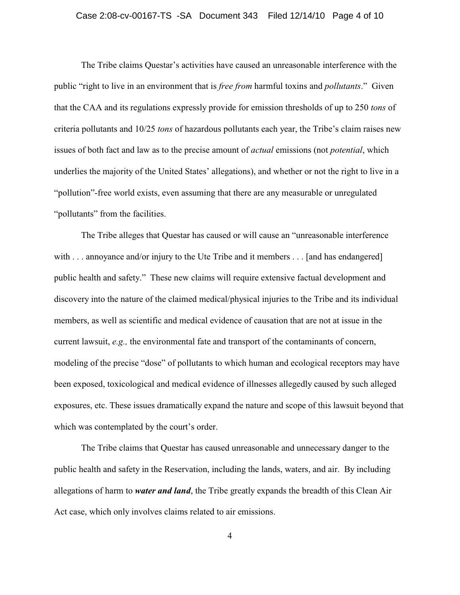### Case 2:08-cv-00167-TS -SA Document 343 Filed 12/14/10 Page 4 of 10

The Tribe claims Questar's activities have caused an unreasonable interference with the public "right to live in an environment that is *free from* harmful toxins and *pollutants*." Given that the CAA and its regulations expressly provide for emission thresholds of up to 250 *tons* of criteria pollutants and 10/25 *tons* of hazardous pollutants each year, the Tribe's claim raises new issues of both fact and law as to the precise amount of *actual* emissions (not *potential*, which underlies the majority of the United States' allegations), and whether or not the right to live in a "pollution"-free world exists, even assuming that there are any measurable or unregulated "pollutants" from the facilities.

The Tribe alleges that Questar has caused or will cause an "unreasonable interference with . . . annoyance and/or injury to the Ute Tribe and it members . . . [and has endangered] public health and safety." These new claims will require extensive factual development and discovery into the nature of the claimed medical/physical injuries to the Tribe and its individual members, as well as scientific and medical evidence of causation that are not at issue in the current lawsuit, *e.g.,* the environmental fate and transport of the contaminants of concern, modeling of the precise "dose" of pollutants to which human and ecological receptors may have been exposed, toxicological and medical evidence of illnesses allegedly caused by such alleged exposures, etc. These issues dramatically expand the nature and scope of this lawsuit beyond that which was contemplated by the court's order.

The Tribe claims that Questar has caused unreasonable and unnecessary danger to the public health and safety in the Reservation, including the lands, waters, and air. By including allegations of harm to *water and land*, the Tribe greatly expands the breadth of this Clean Air Act case, which only involves claims related to air emissions.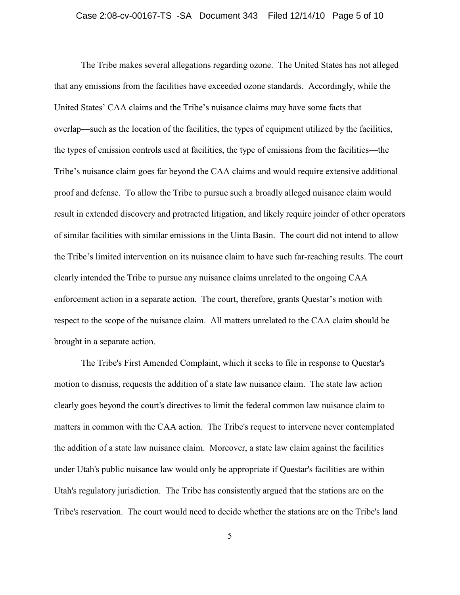The Tribe makes several allegations regarding ozone. The United States has not alleged that any emissions from the facilities have exceeded ozone standards. Accordingly, while the United States' CAA claims and the Tribe's nuisance claims may have some facts that overlap—such as the location of the facilities, the types of equipment utilized by the facilities, the types of emission controls used at facilities, the type of emissions from the facilities—the Tribe's nuisance claim goes far beyond the CAA claims and would require extensive additional proof and defense. To allow the Tribe to pursue such a broadly alleged nuisance claim would result in extended discovery and protracted litigation, and likely require joinder of other operators of similar facilities with similar emissions in the Uinta Basin. The court did not intend to allow the Tribe's limited intervention on its nuisance claim to have such far-reaching results. The court clearly intended the Tribe to pursue any nuisance claims unrelated to the ongoing CAA enforcement action in a separate action. The court, therefore, grants Questar's motion with respect to the scope of the nuisance claim. All matters unrelated to the CAA claim should be brought in a separate action.

The Tribe's First Amended Complaint, which it seeks to file in response to Questar's motion to dismiss, requests the addition of a state law nuisance claim. The state law action clearly goes beyond the court's directives to limit the federal common law nuisance claim to matters in common with the CAA action. The Tribe's request to intervene never contemplated the addition of a state law nuisance claim. Moreover, a state law claim against the facilities under Utah's public nuisance law would only be appropriate if Questar's facilities are within Utah's regulatory jurisdiction. The Tribe has consistently argued that the stations are on the Tribe's reservation. The court would need to decide whether the stations are on the Tribe's land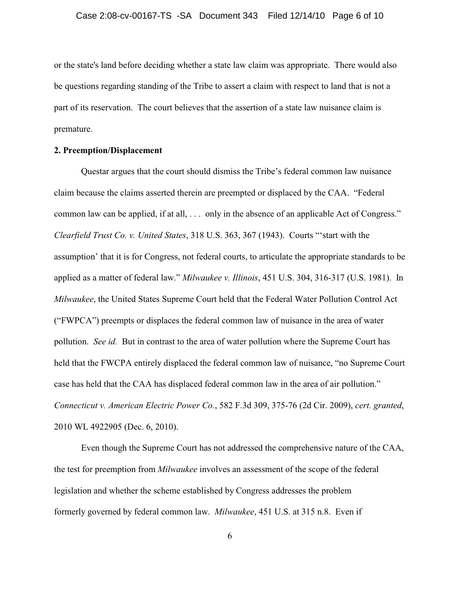or the state's land before deciding whether a state law claim was appropriate. There would also be questions regarding standing of the Tribe to assert a claim with respect to land that is not a part of its reservation. The court believes that the assertion of a state law nuisance claim is premature.

## **2. Preemption/Displacement**

Questar argues that the court should dismiss the Tribe's federal common law nuisance claim because the claims asserted therein are preempted or displaced by the CAA. "Federal common law can be applied, if at all, . . . only in the absence of an applicable Act of Congress." *Clearfield Trust Co. v. United States*, 318 U.S. 363, 367 (1943). Courts "'start with the assumption' that it is for Congress, not federal courts, to articulate the appropriate standards to be applied as a matter of federal law." *Milwaukee v. Illinois*, 451 U.S. 304, 316-317 (U.S. 1981). In *Milwaukee*, the United States Supreme Court held that the Federal Water Pollution Control Act ("FWPCA") preempts or displaces the federal common law of nuisance in the area of water pollution. *See id.* But in contrast to the area of water pollution where the Supreme Court has held that the FWCPA entirely displaced the federal common law of nuisance, "no Supreme Court" case has held that the CAA has displaced federal common law in the area of air pollution." *Connecticut v. American Electric Power Co.*, 582 F.3d 309, 375-76 (2d Cir. 2009), *cert. granted*, 2010 WL 4922905 (Dec. 6, 2010).

Even though the Supreme Court has not addressed the comprehensive nature of the CAA, the test for preemption from *Milwaukee* involves an assessment of the scope of the federal legislation and whether the scheme established by Congress addresses the problem formerly governed by federal common law. *Milwaukee*, 451 U.S. at 315 n.8. Even if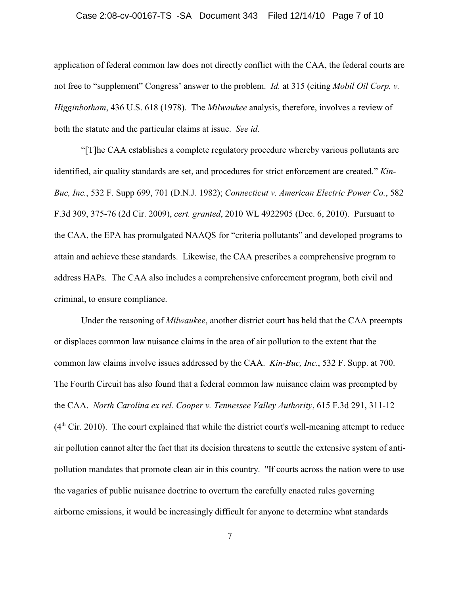#### Case 2:08-cv-00167-TS -SA Document 343 Filed 12/14/10 Page 7 of 10

application of federal common law does not directly conflict with the CAA, the federal courts are not free to "supplement" Congress' answer to the problem. *Id.* at 315 (citing *Mobil Oil Corp. v. Higginbotham*, 436 U.S. 618 (1978). The *Milwaukee* analysis, therefore, involves a review of both the statute and the particular claims at issue. *See id.* 

"[T]he CAA establishes a complete regulatory procedure whereby various pollutants are identified, air quality standards are set, and procedures for strict enforcement are created." *Kin-Buc, Inc.*, 532 F. Supp 699, 701 (D.N.J. 1982); *Connecticut v. American Electric Power Co.*, 582 F.3d 309, 375-76 (2d Cir. 2009), *cert. granted*, 2010 WL 4922905 (Dec. 6, 2010). Pursuant to the CAA, the EPA has promulgated NAAQS for "criteria pollutants" and developed programs to attain and achieve these standards. Likewise, the CAA prescribes a comprehensive program to address HAPs*.* The CAA also includes a comprehensive enforcement program, both civil and criminal, to ensure compliance.

Under the reasoning of *Milwaukee*, another district court has held that the CAA preempts or displaces common law nuisance claims in the area of air pollution to the extent that the common law claims involve issues addressed by the CAA. *Kin-Buc, Inc.*, 532 F. Supp. at 700. The Fourth Circuit has also found that a federal common law nuisance claim was preempted by the CAA. *North Carolina ex rel. Cooper v. Tennessee Valley Authority*, 615 F.3d 291, 311-12  $(4<sup>th</sup> Cir. 2010)$ . The court explained that while the district court's well-meaning attempt to reduce air pollution cannot alter the fact that its decision threatens to scuttle the extensive system of antipollution mandates that promote clean air in this country. "If courts across the nation were to use the vagaries of public nuisance doctrine to overturn the carefully enacted rules governing airborne emissions, it would be increasingly difficult for anyone to determine what standards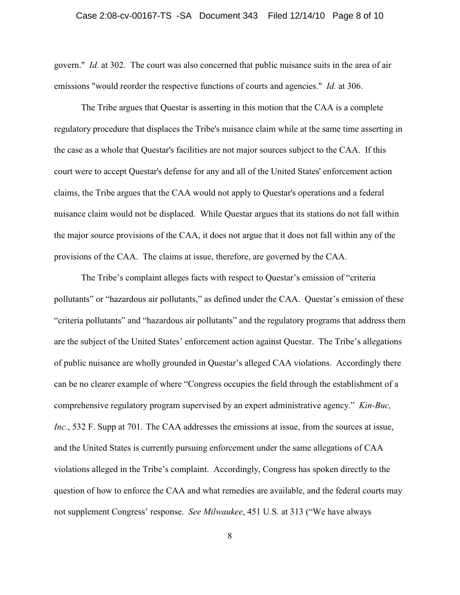### Case 2:08-cv-00167-TS -SA Document 343 Filed 12/14/10 Page 8 of 10

govern." *Id.* at 302. The court was also concerned that public nuisance suits in the area of air emissions "would reorder the respective functions of courts and agencies." *Id.* at 306.

The Tribe argues that Questar is asserting in this motion that the CAA is a complete regulatory procedure that displaces the Tribe's nuisance claim while at the same time asserting in the case as a whole that Questar's facilities are not major sources subject to the CAA. If this court were to accept Questar's defense for any and all of the United States' enforcement action claims, the Tribe argues that the CAA would not apply to Questar's operations and a federal nuisance claim would not be displaced. While Questar argues that its stations do not fall within the major source provisions of the CAA, it does not argue that it does not fall within any of the provisions of the CAA. The claims at issue, therefore, are governed by the CAA.

The Tribe's complaint alleges facts with respect to Questar's emission of "criteria pollutants" or "hazardous air pollutants," as defined under the CAA. Questar's emission of these "criteria pollutants" and "hazardous air pollutants" and the regulatory programs that address them are the subject of the United States' enforcement action against Questar. The Tribe's allegations of public nuisance are wholly grounded in Questar's alleged CAA violations. Accordingly there can be no clearer example of where "Congress occupies the field through the establishment of a comprehensive regulatory program supervised by an expert administrative agency." *Kin-Buc, Inc.*, 532 F. Supp at 701. The CAA addresses the emissions at issue, from the sources at issue, and the United States is currently pursuing enforcement under the same allegations of CAA violations alleged in the Tribe's complaint. Accordingly, Congress has spoken directly to the question of how to enforce the CAA and what remedies are available, and the federal courts may not supplement Congress' response. *See Milwaukee*, 451 U.S*.* at 313 ("We have always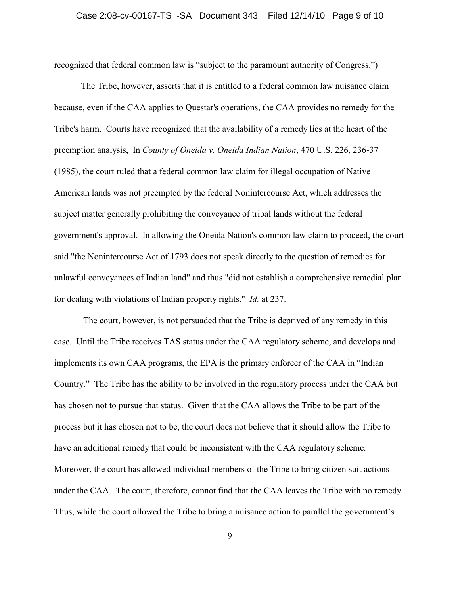recognized that federal common law is "subject to the paramount authority of Congress.")

The Tribe, however, asserts that it is entitled to a federal common law nuisance claim because, even if the CAA applies to Questar's operations, the CAA provides no remedy for the Tribe's harm. Courts have recognized that the availability of a remedy lies at the heart of the preemption analysis, In *County of Oneida v. Oneida Indian Nation*, 470 U.S. 226, 236-37 (1985), the court ruled that a federal common law claim for illegal occupation of Native American lands was not preempted by the federal Nonintercourse Act, which addresses the subject matter generally prohibiting the conveyance of tribal lands without the federal government's approval. In allowing the Oneida Nation's common law claim to proceed, the court said "the Nonintercourse Act of 1793 does not speak directly to the question of remedies for unlawful conveyances of Indian land" and thus "did not establish a comprehensive remedial plan for dealing with violations of Indian property rights." *Id.* at 237.

 The court, however, is not persuaded that the Tribe is deprived of any remedy in this case. Until the Tribe receives TAS status under the CAA regulatory scheme, and develops and implements its own CAA programs, the EPA is the primary enforcer of the CAA in "Indian Country." The Tribe has the ability to be involved in the regulatory process under the CAA but has chosen not to pursue that status. Given that the CAA allows the Tribe to be part of the process but it has chosen not to be, the court does not believe that it should allow the Tribe to have an additional remedy that could be inconsistent with the CAA regulatory scheme. Moreover, the court has allowed individual members of the Tribe to bring citizen suit actions under the CAA. The court, therefore, cannot find that the CAA leaves the Tribe with no remedy. Thus, while the court allowed the Tribe to bring a nuisance action to parallel the government's